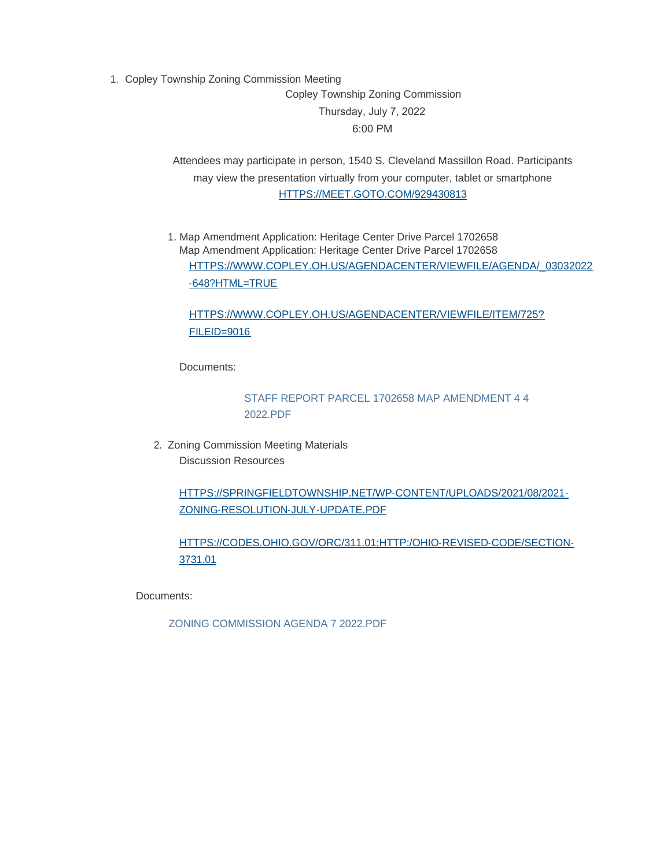1. Copley Township Zoning Commission Meeting Copley Township Zoning Commission Thursday, July 7, 2022 6:00 PM

> Attendees may participate in person, 1540 S. Cleveland Massillon Road. Participants [may view the presentation virtually from your computer, tab](https://meet.goto.com/929430813?_ga=2.244590285.950914416.1655311961-1960992959.1637327156)let or smartphone HTTPS://MEET.GOTO.COM/929430813

1. Map Amendment Application: Heritage Center Drive Parcel 1702658 Map Amendment Application: Heritage Center Drive Parcel 1702658 [HTTPS://WWW.COPLEY.OH.US/AGENDACENTER/VIEWFILE/AGENDA/\\_03032022](https://www.copley.oh.us/AgendaCenter/ViewFile/Agenda/_03032022-648?html=true) -648?HTML=TRUE

# [HTTPS://WWW.COPLEY.OH.US/AGENDACENTER/VIEWFILE/ITEM/725?](https://www.copley.oh.us/AgendaCenter/ViewFile/Item/725?fileID=9016) FILEID=9016

Documents:

[STAFF REPORT PARCEL 1702658 MAP AMENDMENT 4 4](https://www.copley.oh.us/AgendaCenter/ViewFile/Item/745?fileID=9096)  2022.PDF

2. Zoning Commission Meeting Materials Discussion Resources

> [HTTPS://SPRINGFIELDTOWNSHIP.NET/WP-CONTENT/UPLOADS/2021/08/2021-](https://springfieldtownship.net/wp-content/uploads/2021/08/2021-Zoning-Resolution-July-Update.pdf) ZONING-RESOLUTION-JULY-UPDATE.PDF

[HTTPS://CODES.OHIO.GOV/ORC/311.01;HTTP:/OHIO-REVISED-CODE/SECTION-](https://codes.ohio.gov/orc/311.01;http:/ohio-revised-code/section-3731.01)3731.01

Documents:

ZONING COMMISSION AGENDA 7 2022.PDF